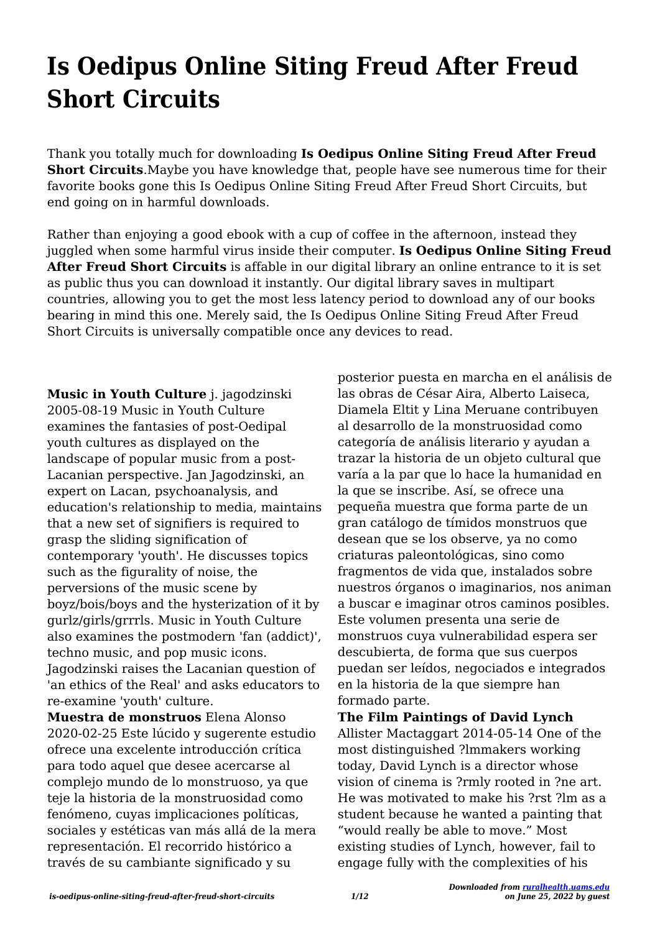## **Is Oedipus Online Siting Freud After Freud Short Circuits**

Thank you totally much for downloading **Is Oedipus Online Siting Freud After Freud Short Circuits**.Maybe you have knowledge that, people have see numerous time for their favorite books gone this Is Oedipus Online Siting Freud After Freud Short Circuits, but end going on in harmful downloads.

Rather than enjoying a good ebook with a cup of coffee in the afternoon, instead they juggled when some harmful virus inside their computer. **Is Oedipus Online Siting Freud After Freud Short Circuits** is affable in our digital library an online entrance to it is set as public thus you can download it instantly. Our digital library saves in multipart countries, allowing you to get the most less latency period to download any of our books bearing in mind this one. Merely said, the Is Oedipus Online Siting Freud After Freud Short Circuits is universally compatible once any devices to read.

**Music in Youth Culture** j. jagodzinski 2005-08-19 Music in Youth Culture examines the fantasies of post-Oedipal youth cultures as displayed on the landscape of popular music from a post-Lacanian perspective. Jan Jagodzinski, an expert on Lacan, psychoanalysis, and education's relationship to media, maintains that a new set of signifiers is required to grasp the sliding signification of contemporary 'youth'. He discusses topics such as the figurality of noise, the perversions of the music scene by boyz/bois/boys and the hysterization of it by gurlz/girls/grrrls. Music in Youth Culture also examines the postmodern 'fan (addict)', techno music, and pop music icons. Jagodzinski raises the Lacanian question of 'an ethics of the Real' and asks educators to re-examine 'youth' culture.

**Muestra de monstruos** Elena Alonso 2020-02-25 Este lúcido y sugerente estudio ofrece una excelente introducción crítica para todo aquel que desee acercarse al complejo mundo de lo monstruoso, ya que teje la historia de la monstruosidad como fenómeno, cuyas implicaciones políticas, sociales y estéticas van más allá de la mera representación. El recorrido histórico a través de su cambiante significado y su

posterior puesta en marcha en el análisis de las obras de César Aira, Alberto Laiseca, Diamela Eltit y Lina Meruane contribuyen al desarrollo de la monstruosidad como categoría de análisis literario y ayudan a trazar la historia de un objeto cultural que varía a la par que lo hace la humanidad en la que se inscribe. Así, se ofrece una pequeña muestra que forma parte de un gran catálogo de tímidos monstruos que desean que se los observe, ya no como criaturas paleontológicas, sino como fragmentos de vida que, instalados sobre nuestros órganos o imaginarios, nos animan a buscar e imaginar otros caminos posibles. Este volumen presenta una serie de monstruos cuya vulnerabilidad espera ser descubierta, de forma que sus cuerpos puedan ser leídos, negociados e integrados en la historia de la que siempre han formado parte.

**The Film Paintings of David Lynch** Allister Mactaggart 2014-05-14 One of the most distinguished ?lmmakers working today, David Lynch is a director whose vision of cinema is ?rmly rooted in ?ne art. He was motivated to make his ?rst ?lm as a student because he wanted a painting that "would really be able to move." Most existing studies of Lynch, however, fail to engage fully with the complexities of his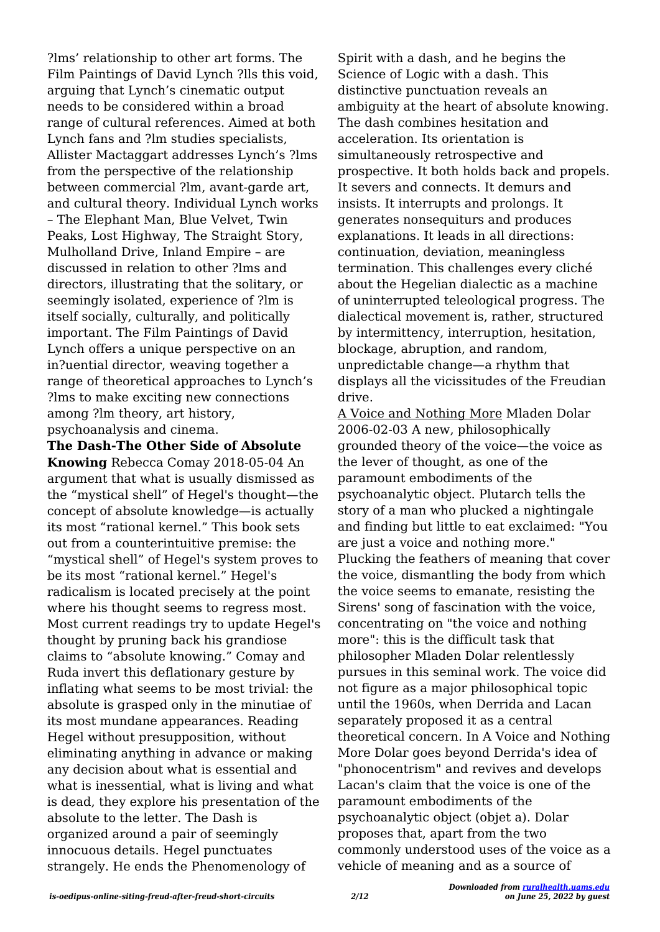?lms' relationship to other art forms. The Film Paintings of David Lynch ?lls this void, arguing that Lynch's cinematic output needs to be considered within a broad range of cultural references. Aimed at both Lynch fans and ?lm studies specialists, Allister Mactaggart addresses Lynch's ?lms from the perspective of the relationship between commercial ?lm, avant-garde art, and cultural theory. Individual Lynch works – The Elephant Man, Blue Velvet, Twin Peaks, Lost Highway, The Straight Story, Mulholland Drive, Inland Empire – are discussed in relation to other ?lms and directors, illustrating that the solitary, or seemingly isolated, experience of ?lm is itself socially, culturally, and politically important. The Film Paintings of David Lynch offers a unique perspective on an in?uential director, weaving together a range of theoretical approaches to Lynch's ?lms to make exciting new connections among ?lm theory, art history, psychoanalysis and cinema.

**The Dash-The Other Side of Absolute Knowing** Rebecca Comay 2018-05-04 An argument that what is usually dismissed as the "mystical shell" of Hegel's thought—the concept of absolute knowledge—is actually its most "rational kernel." This book sets out from a counterintuitive premise: the "mystical shell" of Hegel's system proves to be its most "rational kernel." Hegel's radicalism is located precisely at the point where his thought seems to regress most. Most current readings try to update Hegel's thought by pruning back his grandiose claims to "absolute knowing." Comay and Ruda invert this deflationary gesture by inflating what seems to be most trivial: the absolute is grasped only in the minutiae of its most mundane appearances. Reading Hegel without presupposition, without eliminating anything in advance or making any decision about what is essential and what is inessential, what is living and what is dead, they explore his presentation of the absolute to the letter. The Dash is organized around a pair of seemingly innocuous details. Hegel punctuates strangely. He ends the Phenomenology of

Spirit with a dash, and he begins the Science of Logic with a dash. This distinctive punctuation reveals an ambiguity at the heart of absolute knowing. The dash combines hesitation and acceleration. Its orientation is simultaneously retrospective and prospective. It both holds back and propels. It severs and connects. It demurs and insists. It interrupts and prolongs. It generates nonsequiturs and produces explanations. It leads in all directions: continuation, deviation, meaningless termination. This challenges every cliché about the Hegelian dialectic as a machine of uninterrupted teleological progress. The dialectical movement is, rather, structured by intermittency, interruption, hesitation, blockage, abruption, and random, unpredictable change—a rhythm that displays all the vicissitudes of the Freudian drive.

A Voice and Nothing More Mladen Dolar 2006-02-03 A new, philosophically grounded theory of the voice—the voice as the lever of thought, as one of the paramount embodiments of the psychoanalytic object. Plutarch tells the story of a man who plucked a nightingale and finding but little to eat exclaimed: "You are just a voice and nothing more." Plucking the feathers of meaning that cover the voice, dismantling the body from which the voice seems to emanate, resisting the Sirens' song of fascination with the voice, concentrating on "the voice and nothing more": this is the difficult task that philosopher Mladen Dolar relentlessly pursues in this seminal work. The voice did not figure as a major philosophical topic until the 1960s, when Derrida and Lacan separately proposed it as a central theoretical concern. In A Voice and Nothing More Dolar goes beyond Derrida's idea of "phonocentrism" and revives and develops Lacan's claim that the voice is one of the paramount embodiments of the psychoanalytic object (objet a). Dolar proposes that, apart from the two commonly understood uses of the voice as a vehicle of meaning and as a source of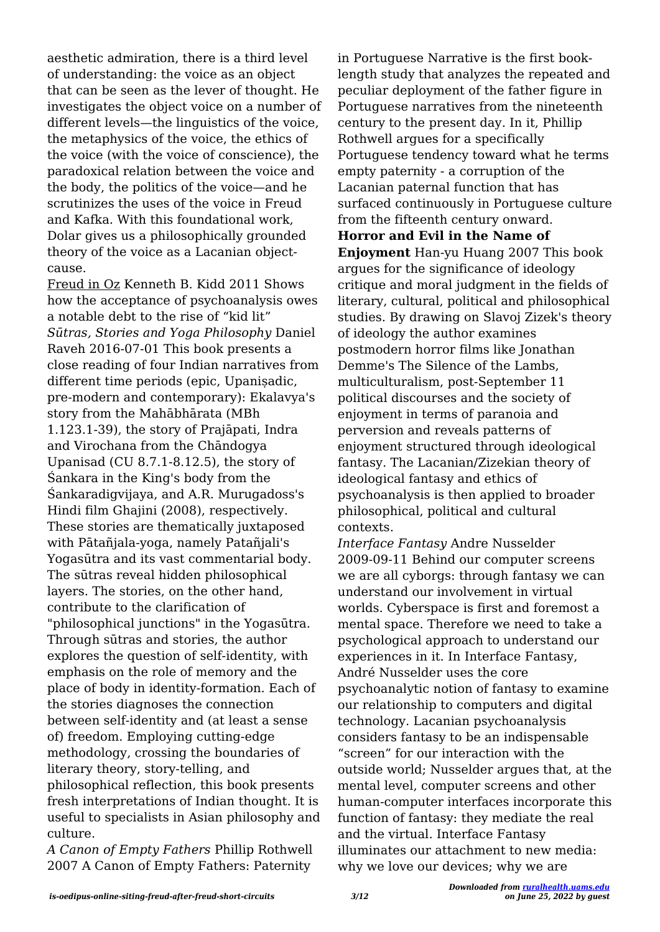aesthetic admiration, there is a third level of understanding: the voice as an object that can be seen as the lever of thought. He investigates the object voice on a number of different levels—the linguistics of the voice, the metaphysics of the voice, the ethics of the voice (with the voice of conscience), the paradoxical relation between the voice and the body, the politics of the voice—and he scrutinizes the uses of the voice in Freud and Kafka. With this foundational work, Dolar gives us a philosophically grounded theory of the voice as a Lacanian objectcause.

Freud in Oz Kenneth B. Kidd 2011 Shows how the acceptance of psychoanalysis owes a notable debt to the rise of "kid lit" *Sūtras, Stories and Yoga Philosophy* Daniel Raveh 2016-07-01 This book presents a close reading of four Indian narratives from different time periods (epic, Upanisadic, pre-modern and contemporary): Ekalavya's story from the Mahābhārata (MBh 1.123.1-39), the story of Prajāpati, Indra and Virochana from the Chāndogya Upanisad (CU 8.7.1-8.12.5), the story of Śankara in the King's body from the Śankaradigvijaya, and A.R. Murugadoss's Hindi film Ghajini (2008), respectively. These stories are thematically juxtaposed with Pātañjala-yoga, namely Patañjali's Yogasūtra and its vast commentarial body. The sūtras reveal hidden philosophical layers. The stories, on the other hand, contribute to the clarification of "philosophical junctions" in the Yogasūtra. Through sūtras and stories, the author explores the question of self-identity, with emphasis on the role of memory and the place of body in identity-formation. Each of the stories diagnoses the connection between self-identity and (at least a sense of) freedom. Employing cutting-edge methodology, crossing the boundaries of literary theory, story-telling, and philosophical reflection, this book presents fresh interpretations of Indian thought. It is useful to specialists in Asian philosophy and culture.

*A Canon of Empty Fathers* Phillip Rothwell 2007 A Canon of Empty Fathers: Paternity

in Portuguese Narrative is the first booklength study that analyzes the repeated and peculiar deployment of the father figure in Portuguese narratives from the nineteenth century to the present day. In it, Phillip Rothwell argues for a specifically Portuguese tendency toward what he terms empty paternity - a corruption of the Lacanian paternal function that has surfaced continuously in Portuguese culture from the fifteenth century onward. **Horror and Evil in the Name of Enjoyment** Han-yu Huang 2007 This book argues for the significance of ideology critique and moral judgment in the fields of literary, cultural, political and philosophical studies. By drawing on Slavoj Zizek's theory of ideology the author examines postmodern horror films like Jonathan Demme's The Silence of the Lambs, multiculturalism, post-September 11 political discourses and the society of enjoyment in terms of paranoia and perversion and reveals patterns of enjoyment structured through ideological fantasy. The Lacanian/Zizekian theory of ideological fantasy and ethics of psychoanalysis is then applied to broader philosophical, political and cultural contexts.

*Interface Fantasy* Andre Nusselder 2009-09-11 Behind our computer screens we are all cyborgs: through fantasy we can understand our involvement in virtual worlds. Cyberspace is first and foremost a mental space. Therefore we need to take a psychological approach to understand our experiences in it. In Interface Fantasy, André Nusselder uses the core psychoanalytic notion of fantasy to examine our relationship to computers and digital technology. Lacanian psychoanalysis considers fantasy to be an indispensable "screen" for our interaction with the outside world; Nusselder argues that, at the mental level, computer screens and other human-computer interfaces incorporate this function of fantasy: they mediate the real and the virtual. Interface Fantasy illuminates our attachment to new media: why we love our devices; why we are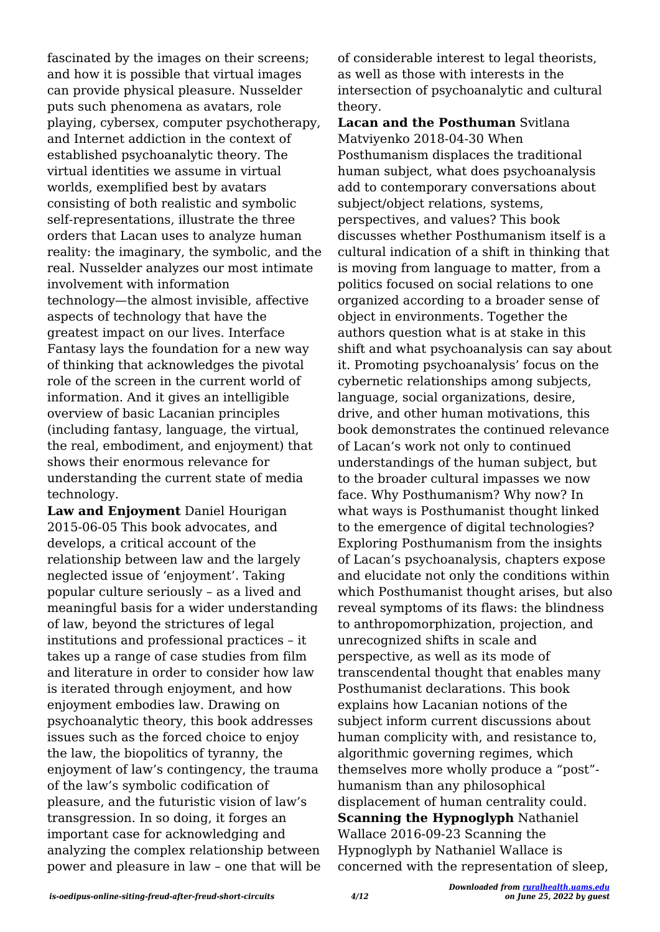fascinated by the images on their screens; and how it is possible that virtual images can provide physical pleasure. Nusselder puts such phenomena as avatars, role playing, cybersex, computer psychotherapy, and Internet addiction in the context of established psychoanalytic theory. The virtual identities we assume in virtual worlds, exemplified best by avatars consisting of both realistic and symbolic self-representations, illustrate the three orders that Lacan uses to analyze human reality: the imaginary, the symbolic, and the real. Nusselder analyzes our most intimate involvement with information technology—the almost invisible, affective aspects of technology that have the greatest impact on our lives. Interface Fantasy lays the foundation for a new way of thinking that acknowledges the pivotal role of the screen in the current world of information. And it gives an intelligible overview of basic Lacanian principles (including fantasy, language, the virtual, the real, embodiment, and enjoyment) that shows their enormous relevance for understanding the current state of media technology.

**Law and Enjoyment** Daniel Hourigan 2015-06-05 This book advocates, and develops, a critical account of the relationship between law and the largely neglected issue of 'enjoyment'. Taking popular culture seriously – as a lived and meaningful basis for a wider understanding of law, beyond the strictures of legal institutions and professional practices – it takes up a range of case studies from film and literature in order to consider how law is iterated through enjoyment, and how enjoyment embodies law. Drawing on psychoanalytic theory, this book addresses issues such as the forced choice to enjoy the law, the biopolitics of tyranny, the enjoyment of law's contingency, the trauma of the law's symbolic codification of pleasure, and the futuristic vision of law's transgression. In so doing, it forges an important case for acknowledging and analyzing the complex relationship between power and pleasure in law – one that will be

of considerable interest to legal theorists, as well as those with interests in the intersection of psychoanalytic and cultural theory.

**Lacan and the Posthuman** Svitlana Matviyenko 2018-04-30 When Posthumanism displaces the traditional human subject, what does psychoanalysis add to contemporary conversations about subject/object relations, systems, perspectives, and values? This book discusses whether Posthumanism itself is a cultural indication of a shift in thinking that is moving from language to matter, from a politics focused on social relations to one organized according to a broader sense of object in environments. Together the authors question what is at stake in this shift and what psychoanalysis can say about it. Promoting psychoanalysis' focus on the cybernetic relationships among subjects, language, social organizations, desire, drive, and other human motivations, this book demonstrates the continued relevance of Lacan's work not only to continued understandings of the human subject, but to the broader cultural impasses we now face. Why Posthumanism? Why now? In what ways is Posthumanist thought linked to the emergence of digital technologies? Exploring Posthumanism from the insights of Lacan's psychoanalysis, chapters expose and elucidate not only the conditions within which Posthumanist thought arises, but also reveal symptoms of its flaws: the blindness to anthropomorphization, projection, and unrecognized shifts in scale and perspective, as well as its mode of transcendental thought that enables many Posthumanist declarations. This book explains how Lacanian notions of the subject inform current discussions about human complicity with, and resistance to, algorithmic governing regimes, which themselves more wholly produce a "post" humanism than any philosophical displacement of human centrality could. **Scanning the Hypnoglyph** Nathaniel Wallace 2016-09-23 Scanning the Hypnoglyph by Nathaniel Wallace is concerned with the representation of sleep,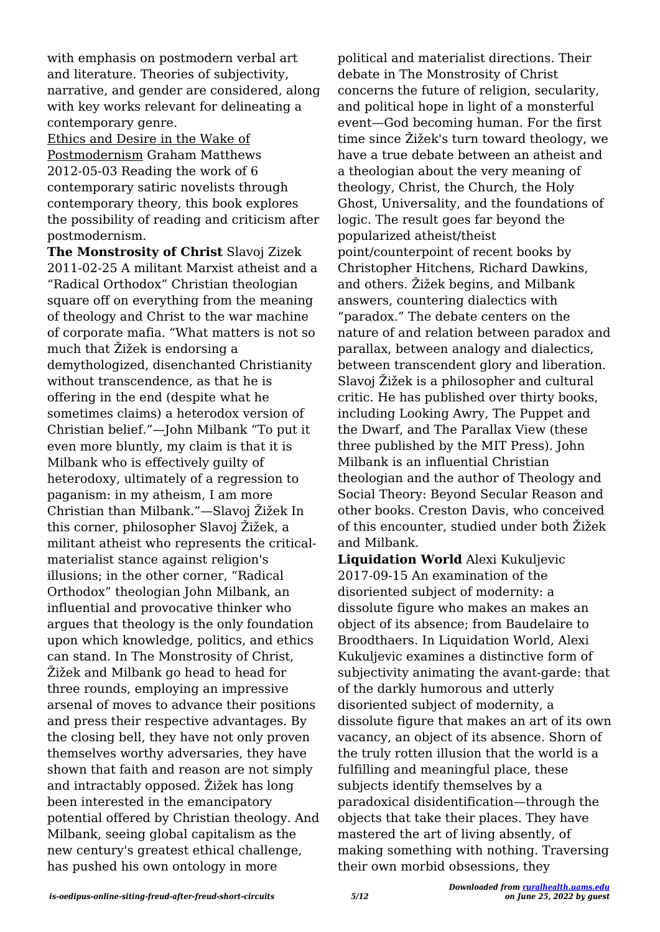with emphasis on postmodern verbal art and literature. Theories of subjectivity, narrative, and gender are considered, along with key works relevant for delineating a contemporary genre.

Ethics and Desire in the Wake of Postmodernism Graham Matthews 2012-05-03 Reading the work of 6 contemporary satiric novelists through contemporary theory, this book explores the possibility of reading and criticism after postmodernism.

**The Monstrosity of Christ** Slavoj Zizek 2011-02-25 A militant Marxist atheist and a "Radical Orthodox" Christian theologian square off on everything from the meaning of theology and Christ to the war machine of corporate mafia. "What matters is not so much that Žižek is endorsing a demythologized, disenchanted Christianity without transcendence, as that he is offering in the end (despite what he sometimes claims) a heterodox version of Christian belief."—John Milbank "To put it even more bluntly, my claim is that it is Milbank who is effectively guilty of heterodoxy, ultimately of a regression to paganism: in my atheism, I am more Christian than Milbank."—Slavoj Žižek In this corner, philosopher Slavoj Žižek, a militant atheist who represents the criticalmaterialist stance against religion's illusions; in the other corner, "Radical Orthodox" theologian John Milbank, an influential and provocative thinker who argues that theology is the only foundation upon which knowledge, politics, and ethics can stand. In The Monstrosity of Christ, Žižek and Milbank go head to head for three rounds, employing an impressive arsenal of moves to advance their positions and press their respective advantages. By the closing bell, they have not only proven themselves worthy adversaries, they have shown that faith and reason are not simply and intractably opposed. Žižek has long been interested in the emancipatory potential offered by Christian theology. And Milbank, seeing global capitalism as the new century's greatest ethical challenge, has pushed his own ontology in more

political and materialist directions. Their debate in The Monstrosity of Christ concerns the future of religion, secularity, and political hope in light of a monsterful event—God becoming human. For the first time since Žižek's turn toward theology, we have a true debate between an atheist and a theologian about the very meaning of theology, Christ, the Church, the Holy Ghost, Universality, and the foundations of logic. The result goes far beyond the popularized atheist/theist point/counterpoint of recent books by Christopher Hitchens, Richard Dawkins, and others. Žižek begins, and Milbank answers, countering dialectics with "paradox." The debate centers on the nature of and relation between paradox and parallax, between analogy and dialectics, between transcendent glory and liberation. Slavoj Žižek is a philosopher and cultural critic. He has published over thirty books, including Looking Awry, The Puppet and the Dwarf, and The Parallax View (these three published by the MIT Press). John Milbank is an influential Christian theologian and the author of Theology and Social Theory: Beyond Secular Reason and other books. Creston Davis, who conceived of this encounter, studied under both Žižek and Milbank.

**Liquidation World** Alexi Kukuljevic 2017-09-15 An examination of the disoriented subject of modernity: a dissolute figure who makes an makes an object of its absence; from Baudelaire to Broodthaers. In Liquidation World, Alexi Kukuljevic examines a distinctive form of subjectivity animating the avant-garde: that of the darkly humorous and utterly disoriented subject of modernity, a dissolute figure that makes an art of its own vacancy, an object of its absence. Shorn of the truly rotten illusion that the world is a fulfilling and meaningful place, these subjects identify themselves by a paradoxical disidentification—through the objects that take their places. They have mastered the art of living absently, of making something with nothing. Traversing their own morbid obsessions, they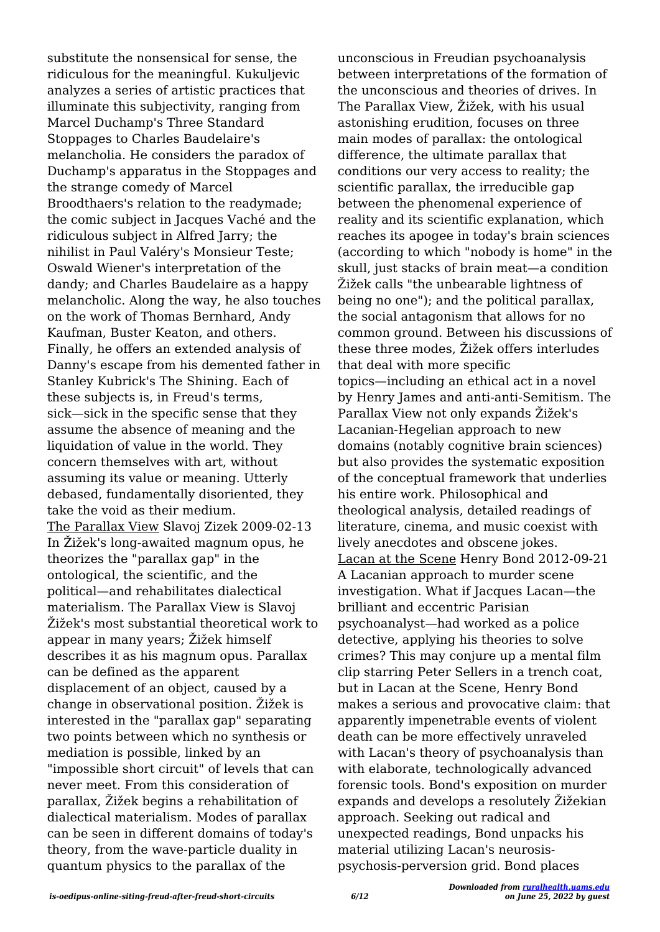substitute the nonsensical for sense, the ridiculous for the meaningful. Kukuljevic analyzes a series of artistic practices that illuminate this subjectivity, ranging from Marcel Duchamp's Three Standard Stoppages to Charles Baudelaire's melancholia. He considers the paradox of Duchamp's apparatus in the Stoppages and the strange comedy of Marcel Broodthaers's relation to the readymade; the comic subject in Jacques Vaché and the ridiculous subject in Alfred Jarry; the nihilist in Paul Valéry's Monsieur Teste; Oswald Wiener's interpretation of the dandy; and Charles Baudelaire as a happy melancholic. Along the way, he also touches on the work of Thomas Bernhard, Andy Kaufman, Buster Keaton, and others. Finally, he offers an extended analysis of Danny's escape from his demented father in Stanley Kubrick's The Shining. Each of these subjects is, in Freud's terms, sick—sick in the specific sense that they assume the absence of meaning and the liquidation of value in the world. They concern themselves with art, without assuming its value or meaning. Utterly debased, fundamentally disoriented, they take the void as their medium. The Parallax View Slavoj Zizek 2009-02-13 In Žižek's long-awaited magnum opus, he theorizes the "parallax gap" in the ontological, the scientific, and the political—and rehabilitates dialectical materialism. The Parallax View is Slavoj Žižek's most substantial theoretical work to appear in many years; Žižek himself describes it as his magnum opus. Parallax can be defined as the apparent displacement of an object, caused by a change in observational position. Žižek is interested in the "parallax gap" separating two points between which no synthesis or mediation is possible, linked by an "impossible short circuit" of levels that can never meet. From this consideration of parallax, Žižek begins a rehabilitation of dialectical materialism. Modes of parallax can be seen in different domains of today's theory, from the wave-particle duality in quantum physics to the parallax of the

unconscious in Freudian psychoanalysis between interpretations of the formation of the unconscious and theories of drives. In The Parallax View, Žižek, with his usual astonishing erudition, focuses on three main modes of parallax: the ontological difference, the ultimate parallax that conditions our very access to reality; the scientific parallax, the irreducible gap between the phenomenal experience of reality and its scientific explanation, which reaches its apogee in today's brain sciences (according to which "nobody is home" in the skull, just stacks of brain meat—a condition Žižek calls "the unbearable lightness of being no one"); and the political parallax, the social antagonism that allows for no common ground. Between his discussions of these three modes, Žižek offers interludes that deal with more specific topics—including an ethical act in a novel by Henry James and anti-anti-Semitism. The Parallax View not only expands Žižek's Lacanian-Hegelian approach to new domains (notably cognitive brain sciences) but also provides the systematic exposition of the conceptual framework that underlies his entire work. Philosophical and theological analysis, detailed readings of literature, cinema, and music coexist with lively anecdotes and obscene jokes. Lacan at the Scene Henry Bond 2012-09-21 A Lacanian approach to murder scene investigation. What if Jacques Lacan—the brilliant and eccentric Parisian psychoanalyst—had worked as a police detective, applying his theories to solve crimes? This may conjure up a mental film clip starring Peter Sellers in a trench coat, but in Lacan at the Scene, Henry Bond makes a serious and provocative claim: that apparently impenetrable events of violent death can be more effectively unraveled with Lacan's theory of psychoanalysis than with elaborate, technologically advanced forensic tools. Bond's exposition on murder expands and develops a resolutely Žižekian approach. Seeking out radical and unexpected readings, Bond unpacks his material utilizing Lacan's neurosispsychosis-perversion grid. Bond places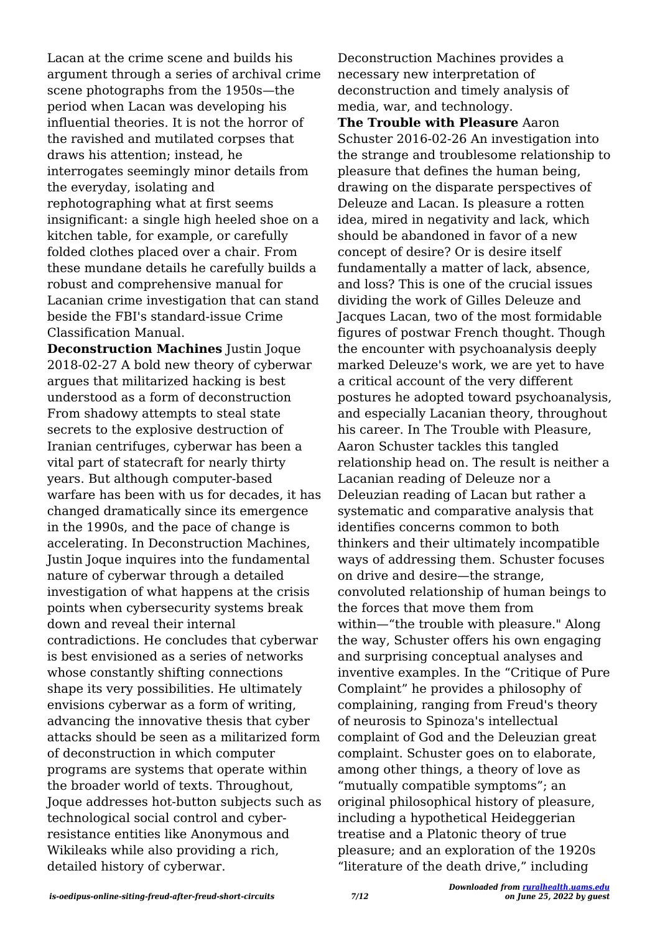Lacan at the crime scene and builds his argument through a series of archival crime scene photographs from the 1950s—the period when Lacan was developing his influential theories. It is not the horror of the ravished and mutilated corpses that draws his attention; instead, he interrogates seemingly minor details from the everyday, isolating and rephotographing what at first seems insignificant: a single high heeled shoe on a kitchen table, for example, or carefully folded clothes placed over a chair. From these mundane details he carefully builds a robust and comprehensive manual for Lacanian crime investigation that can stand beside the FBI's standard-issue Crime Classification Manual.

**Deconstruction Machines** Justin Joque 2018-02-27 A bold new theory of cyberwar argues that militarized hacking is best understood as a form of deconstruction From shadowy attempts to steal state secrets to the explosive destruction of Iranian centrifuges, cyberwar has been a vital part of statecraft for nearly thirty years. But although computer-based warfare has been with us for decades, it has changed dramatically since its emergence in the 1990s, and the pace of change is accelerating. In Deconstruction Machines, Justin Joque inquires into the fundamental nature of cyberwar through a detailed investigation of what happens at the crisis points when cybersecurity systems break down and reveal their internal contradictions. He concludes that cyberwar is best envisioned as a series of networks whose constantly shifting connections shape its very possibilities. He ultimately envisions cyberwar as a form of writing, advancing the innovative thesis that cyber attacks should be seen as a militarized form of deconstruction in which computer programs are systems that operate within the broader world of texts. Throughout, Joque addresses hot-button subjects such as technological social control and cyberresistance entities like Anonymous and Wikileaks while also providing a rich, detailed history of cyberwar.

Deconstruction Machines provides a necessary new interpretation of deconstruction and timely analysis of media, war, and technology.

**The Trouble with Pleasure** Aaron Schuster 2016-02-26 An investigation into the strange and troublesome relationship to pleasure that defines the human being, drawing on the disparate perspectives of Deleuze and Lacan. Is pleasure a rotten idea, mired in negativity and lack, which should be abandoned in favor of a new concept of desire? Or is desire itself fundamentally a matter of lack, absence, and loss? This is one of the crucial issues dividing the work of Gilles Deleuze and Jacques Lacan, two of the most formidable figures of postwar French thought. Though the encounter with psychoanalysis deeply marked Deleuze's work, we are yet to have a critical account of the very different postures he adopted toward psychoanalysis, and especially Lacanian theory, throughout his career. In The Trouble with Pleasure, Aaron Schuster tackles this tangled relationship head on. The result is neither a Lacanian reading of Deleuze nor a Deleuzian reading of Lacan but rather a systematic and comparative analysis that identifies concerns common to both thinkers and their ultimately incompatible ways of addressing them. Schuster focuses on drive and desire—the strange, convoluted relationship of human beings to the forces that move them from within—"the trouble with pleasure." Along the way, Schuster offers his own engaging and surprising conceptual analyses and inventive examples. In the "Critique of Pure Complaint" he provides a philosophy of complaining, ranging from Freud's theory of neurosis to Spinoza's intellectual complaint of God and the Deleuzian great complaint. Schuster goes on to elaborate, among other things, a theory of love as "mutually compatible symptoms"; an original philosophical history of pleasure, including a hypothetical Heideggerian treatise and a Platonic theory of true pleasure; and an exploration of the 1920s "literature of the death drive," including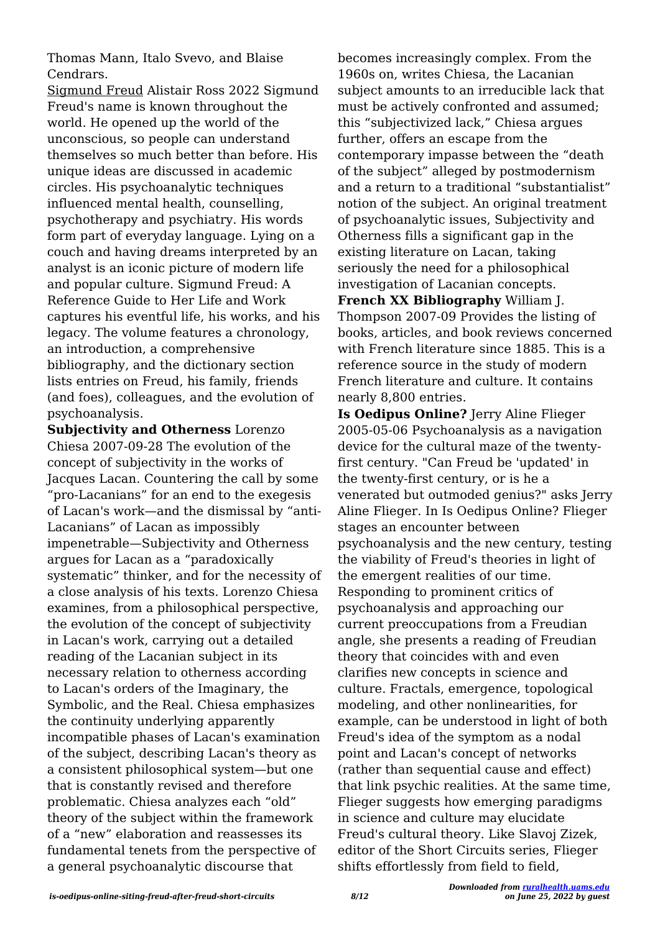Thomas Mann, Italo Svevo, and Blaise Cendrars.

Sigmund Freud Alistair Ross 2022 Sigmund Freud's name is known throughout the world. He opened up the world of the unconscious, so people can understand themselves so much better than before. His unique ideas are discussed in academic circles. His psychoanalytic techniques influenced mental health, counselling, psychotherapy and psychiatry. His words form part of everyday language. Lying on a couch and having dreams interpreted by an analyst is an iconic picture of modern life and popular culture. Sigmund Freud: A Reference Guide to Her Life and Work captures his eventful life, his works, and his legacy. The volume features a chronology, an introduction, a comprehensive bibliography, and the dictionary section lists entries on Freud, his family, friends (and foes), colleagues, and the evolution of psychoanalysis.

**Subjectivity and Otherness** Lorenzo Chiesa 2007-09-28 The evolution of the concept of subjectivity in the works of Jacques Lacan. Countering the call by some "pro-Lacanians" for an end to the exegesis of Lacan's work—and the dismissal by "anti-Lacanians" of Lacan as impossibly impenetrable—Subjectivity and Otherness argues for Lacan as a "paradoxically systematic" thinker, and for the necessity of a close analysis of his texts. Lorenzo Chiesa examines, from a philosophical perspective, the evolution of the concept of subjectivity in Lacan's work, carrying out a detailed reading of the Lacanian subject in its necessary relation to otherness according to Lacan's orders of the Imaginary, the Symbolic, and the Real. Chiesa emphasizes the continuity underlying apparently incompatible phases of Lacan's examination of the subject, describing Lacan's theory as a consistent philosophical system—but one that is constantly revised and therefore problematic. Chiesa analyzes each "old" theory of the subject within the framework of a "new" elaboration and reassesses its fundamental tenets from the perspective of a general psychoanalytic discourse that

becomes increasingly complex. From the 1960s on, writes Chiesa, the Lacanian subject amounts to an irreducible lack that must be actively confronted and assumed; this "subjectivized lack," Chiesa argues further, offers an escape from the contemporary impasse between the "death of the subject" alleged by postmodernism and a return to a traditional "substantialist" notion of the subject. An original treatment of psychoanalytic issues, Subjectivity and Otherness fills a significant gap in the existing literature on Lacan, taking seriously the need for a philosophical investigation of Lacanian concepts.

**French XX Bibliography** William J. Thompson 2007-09 Provides the listing of books, articles, and book reviews concerned with French literature since 1885. This is a reference source in the study of modern French literature and culture. It contains nearly 8,800 entries.

**Is Oedipus Online?** Jerry Aline Flieger 2005-05-06 Psychoanalysis as a navigation device for the cultural maze of the twentyfirst century. "Can Freud be 'updated' in the twenty-first century, or is he a venerated but outmoded genius?" asks Jerry Aline Flieger. In Is Oedipus Online? Flieger stages an encounter between psychoanalysis and the new century, testing the viability of Freud's theories in light of the emergent realities of our time. Responding to prominent critics of psychoanalysis and approaching our current preoccupations from a Freudian angle, she presents a reading of Freudian theory that coincides with and even clarifies new concepts in science and culture. Fractals, emergence, topological modeling, and other nonlinearities, for example, can be understood in light of both Freud's idea of the symptom as a nodal point and Lacan's concept of networks (rather than sequential cause and effect) that link psychic realities. At the same time, Flieger suggests how emerging paradigms in science and culture may elucidate Freud's cultural theory. Like Slavoj Zizek, editor of the Short Circuits series, Flieger shifts effortlessly from field to field,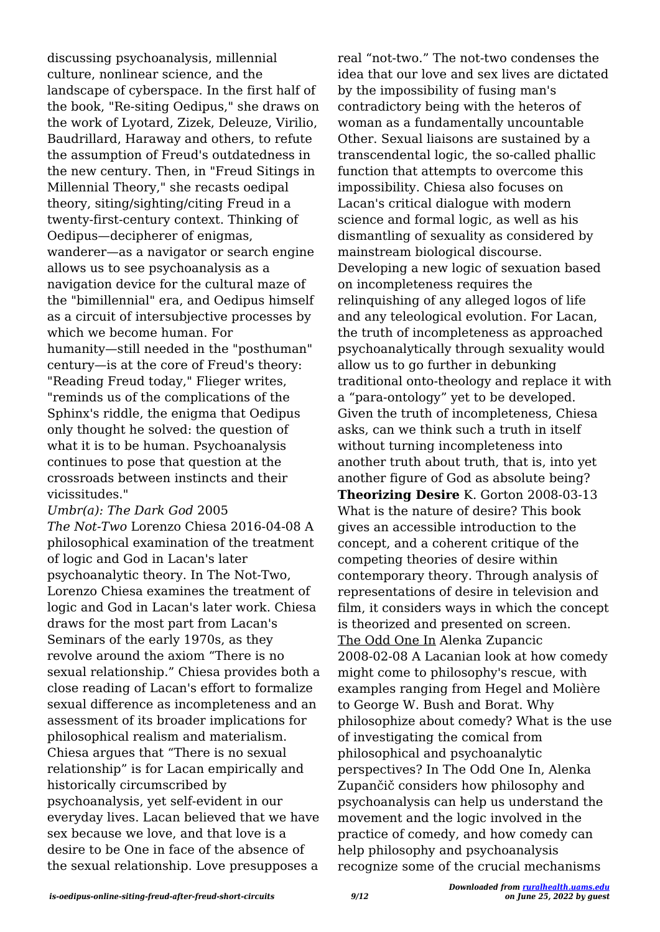discussing psychoanalysis, millennial culture, nonlinear science, and the landscape of cyberspace. In the first half of the book, "Re-siting Oedipus," she draws on the work of Lyotard, Zizek, Deleuze, Virilio, Baudrillard, Haraway and others, to refute the assumption of Freud's outdatedness in the new century. Then, in "Freud Sitings in Millennial Theory," she recasts oedipal theory, siting/sighting/citing Freud in a twenty-first-century context. Thinking of Oedipus—decipherer of enigmas, wanderer—as a navigator or search engine allows us to see psychoanalysis as a navigation device for the cultural maze of the "bimillennial" era, and Oedipus himself as a circuit of intersubjective processes by which we become human. For humanity—still needed in the "posthuman" century—is at the core of Freud's theory: "Reading Freud today," Flieger writes, "reminds us of the complications of the Sphinx's riddle, the enigma that Oedipus only thought he solved: the question of what it is to be human. Psychoanalysis continues to pose that question at the crossroads between instincts and their vicissitudes."

## *Umbr(a): The Dark God* 2005

*The Not-Two* Lorenzo Chiesa 2016-04-08 A philosophical examination of the treatment of logic and God in Lacan's later psychoanalytic theory. In The Not-Two, Lorenzo Chiesa examines the treatment of logic and God in Lacan's later work. Chiesa draws for the most part from Lacan's Seminars of the early 1970s, as they revolve around the axiom "There is no sexual relationship." Chiesa provides both a close reading of Lacan's effort to formalize sexual difference as incompleteness and an assessment of its broader implications for philosophical realism and materialism. Chiesa argues that "There is no sexual relationship" is for Lacan empirically and historically circumscribed by psychoanalysis, yet self-evident in our everyday lives. Lacan believed that we have sex because we love, and that love is a desire to be One in face of the absence of the sexual relationship. Love presupposes a

real "not-two." The not-two condenses the idea that our love and sex lives are dictated by the impossibility of fusing man's contradictory being with the heteros of woman as a fundamentally uncountable Other. Sexual liaisons are sustained by a transcendental logic, the so-called phallic function that attempts to overcome this impossibility. Chiesa also focuses on Lacan's critical dialogue with modern science and formal logic, as well as his dismantling of sexuality as considered by mainstream biological discourse. Developing a new logic of sexuation based on incompleteness requires the relinquishing of any alleged logos of life and any teleological evolution. For Lacan, the truth of incompleteness as approached psychoanalytically through sexuality would allow us to go further in debunking traditional onto-theology and replace it with a "para-ontology" yet to be developed. Given the truth of incompleteness, Chiesa asks, can we think such a truth in itself without turning incompleteness into another truth about truth, that is, into yet another figure of God as absolute being? **Theorizing Desire** K. Gorton 2008-03-13 What is the nature of desire? This book gives an accessible introduction to the concept, and a coherent critique of the competing theories of desire within contemporary theory. Through analysis of representations of desire in television and film, it considers ways in which the concept is theorized and presented on screen. The Odd One In Alenka Zupancic 2008-02-08 A Lacanian look at how comedy might come to philosophy's rescue, with examples ranging from Hegel and Molière to George W. Bush and Borat. Why philosophize about comedy? What is the use of investigating the comical from philosophical and psychoanalytic perspectives? In The Odd One In, Alenka Zupančič considers how philosophy and psychoanalysis can help us understand the movement and the logic involved in the practice of comedy, and how comedy can help philosophy and psychoanalysis recognize some of the crucial mechanisms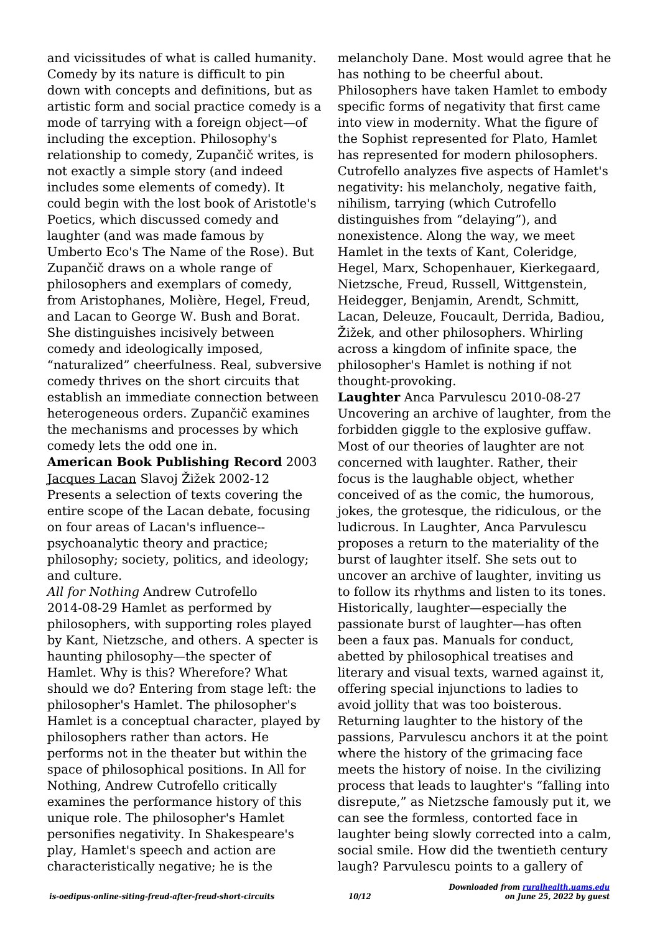and vicissitudes of what is called humanity. Comedy by its nature is difficult to pin down with concepts and definitions, but as artistic form and social practice comedy is a mode of tarrying with a foreign object—of including the exception. Philosophy's relationship to comedy, Zupančič writes, is not exactly a simple story (and indeed includes some elements of comedy). It could begin with the lost book of Aristotle's Poetics, which discussed comedy and laughter (and was made famous by Umberto Eco's The Name of the Rose). But Zupančič draws on a whole range of philosophers and exemplars of comedy, from Aristophanes, Molière, Hegel, Freud, and Lacan to George W. Bush and Borat. She distinguishes incisively between comedy and ideologically imposed, "naturalized" cheerfulness. Real, subversive comedy thrives on the short circuits that establish an immediate connection between heterogeneous orders. Zupančič examines the mechanisms and processes by which comedy lets the odd one in.

**American Book Publishing Record** 2003 Jacques Lacan Slavoj Žižek 2002-12 Presents a selection of texts covering the entire scope of the Lacan debate, focusing on four areas of Lacan's influence- psychoanalytic theory and practice; philosophy; society, politics, and ideology; and culture.

*All for Nothing* Andrew Cutrofello 2014-08-29 Hamlet as performed by philosophers, with supporting roles played by Kant, Nietzsche, and others. A specter is haunting philosophy—the specter of Hamlet. Why is this? Wherefore? What should we do? Entering from stage left: the philosopher's Hamlet. The philosopher's Hamlet is a conceptual character, played by philosophers rather than actors. He performs not in the theater but within the space of philosophical positions. In All for Nothing, Andrew Cutrofello critically examines the performance history of this unique role. The philosopher's Hamlet personifies negativity. In Shakespeare's play, Hamlet's speech and action are characteristically negative; he is the

melancholy Dane. Most would agree that he has nothing to be cheerful about. Philosophers have taken Hamlet to embody specific forms of negativity that first came into view in modernity. What the figure of the Sophist represented for Plato, Hamlet has represented for modern philosophers. Cutrofello analyzes five aspects of Hamlet's negativity: his melancholy, negative faith, nihilism, tarrying (which Cutrofello distinguishes from "delaying"), and nonexistence. Along the way, we meet Hamlet in the texts of Kant, Coleridge, Hegel, Marx, Schopenhauer, Kierkegaard, Nietzsche, Freud, Russell, Wittgenstein, Heidegger, Benjamin, Arendt, Schmitt, Lacan, Deleuze, Foucault, Derrida, Badiou, Žižek, and other philosophers. Whirling across a kingdom of infinite space, the philosopher's Hamlet is nothing if not thought-provoking.

**Laughter** Anca Parvulescu 2010-08-27 Uncovering an archive of laughter, from the forbidden giggle to the explosive guffaw. Most of our theories of laughter are not concerned with laughter. Rather, their focus is the laughable object, whether conceived of as the comic, the humorous, jokes, the grotesque, the ridiculous, or the ludicrous. In Laughter, Anca Parvulescu proposes a return to the materiality of the burst of laughter itself. She sets out to uncover an archive of laughter, inviting us to follow its rhythms and listen to its tones. Historically, laughter—especially the passionate burst of laughter—has often been a faux pas. Manuals for conduct, abetted by philosophical treatises and literary and visual texts, warned against it, offering special injunctions to ladies to avoid jollity that was too boisterous. Returning laughter to the history of the passions, Parvulescu anchors it at the point where the history of the grimacing face meets the history of noise. In the civilizing process that leads to laughter's "falling into disrepute," as Nietzsche famously put it, we can see the formless, contorted face in laughter being slowly corrected into a calm, social smile. How did the twentieth century laugh? Parvulescu points to a gallery of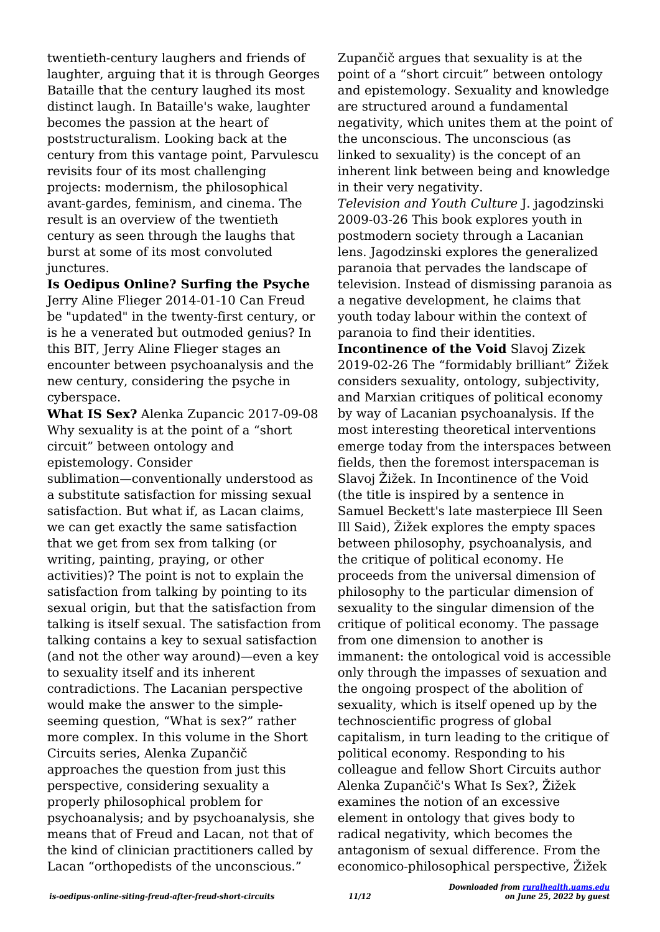twentieth-century laughers and friends of laughter, arguing that it is through Georges Bataille that the century laughed its most distinct laugh. In Bataille's wake, laughter becomes the passion at the heart of poststructuralism. Looking back at the century from this vantage point, Parvulescu revisits four of its most challenging projects: modernism, the philosophical avant-gardes, feminism, and cinema. The result is an overview of the twentieth century as seen through the laughs that burst at some of its most convoluted junctures.

## **Is Oedipus Online? Surfing the Psyche**

Jerry Aline Flieger 2014-01-10 Can Freud be "updated" in the twenty-first century, or is he a venerated but outmoded genius? In this BIT, Jerry Aline Flieger stages an encounter between psychoanalysis and the new century, considering the psyche in cyberspace.

**What IS Sex?** Alenka Zupancic 2017-09-08 Why sexuality is at the point of a "short circuit" between ontology and epistemology. Consider sublimation—conventionally understood as a substitute satisfaction for missing sexual satisfaction. But what if, as Lacan claims, we can get exactly the same satisfaction that we get from sex from talking (or writing, painting, praying, or other activities)? The point is not to explain the satisfaction from talking by pointing to its sexual origin, but that the satisfaction from talking is itself sexual. The satisfaction from talking contains a key to sexual satisfaction (and not the other way around)—even a key to sexuality itself and its inherent contradictions. The Lacanian perspective would make the answer to the simpleseeming question, "What is sex?" rather more complex. In this volume in the Short Circuits series, Alenka Zupančič approaches the question from just this perspective, considering sexuality a properly philosophical problem for psychoanalysis; and by psychoanalysis, she means that of Freud and Lacan, not that of the kind of clinician practitioners called by Lacan "orthopedists of the unconscious."

Zupančič argues that sexuality is at the point of a "short circuit" between ontology and epistemology. Sexuality and knowledge are structured around a fundamental negativity, which unites them at the point of the unconscious. The unconscious (as linked to sexuality) is the concept of an inherent link between being and knowledge in their very negativity.

*Television and Youth Culture* J. jagodzinski 2009-03-26 This book explores youth in postmodern society through a Lacanian lens. Jagodzinski explores the generalized paranoia that pervades the landscape of television. Instead of dismissing paranoia as a negative development, he claims that youth today labour within the context of paranoia to find their identities.

**Incontinence of the Void** Slavoj Zizek 2019-02-26 The "formidably brilliant" Žižek considers sexuality, ontology, subjectivity, and Marxian critiques of political economy by way of Lacanian psychoanalysis. If the most interesting theoretical interventions emerge today from the interspaces between fields, then the foremost interspaceman is Slavoj Žižek. In Incontinence of the Void (the title is inspired by a sentence in Samuel Beckett's late masterpiece Ill Seen Ill Said), Žižek explores the empty spaces between philosophy, psychoanalysis, and the critique of political economy. He proceeds from the universal dimension of philosophy to the particular dimension of sexuality to the singular dimension of the critique of political economy. The passage from one dimension to another is immanent: the ontological void is accessible only through the impasses of sexuation and the ongoing prospect of the abolition of sexuality, which is itself opened up by the technoscientific progress of global capitalism, in turn leading to the critique of political economy. Responding to his colleague and fellow Short Circuits author Alenka Zupančič's What Is Sex?, Žižek examines the notion of an excessive element in ontology that gives body to radical negativity, which becomes the antagonism of sexual difference. From the economico-philosophical perspective, Žižek